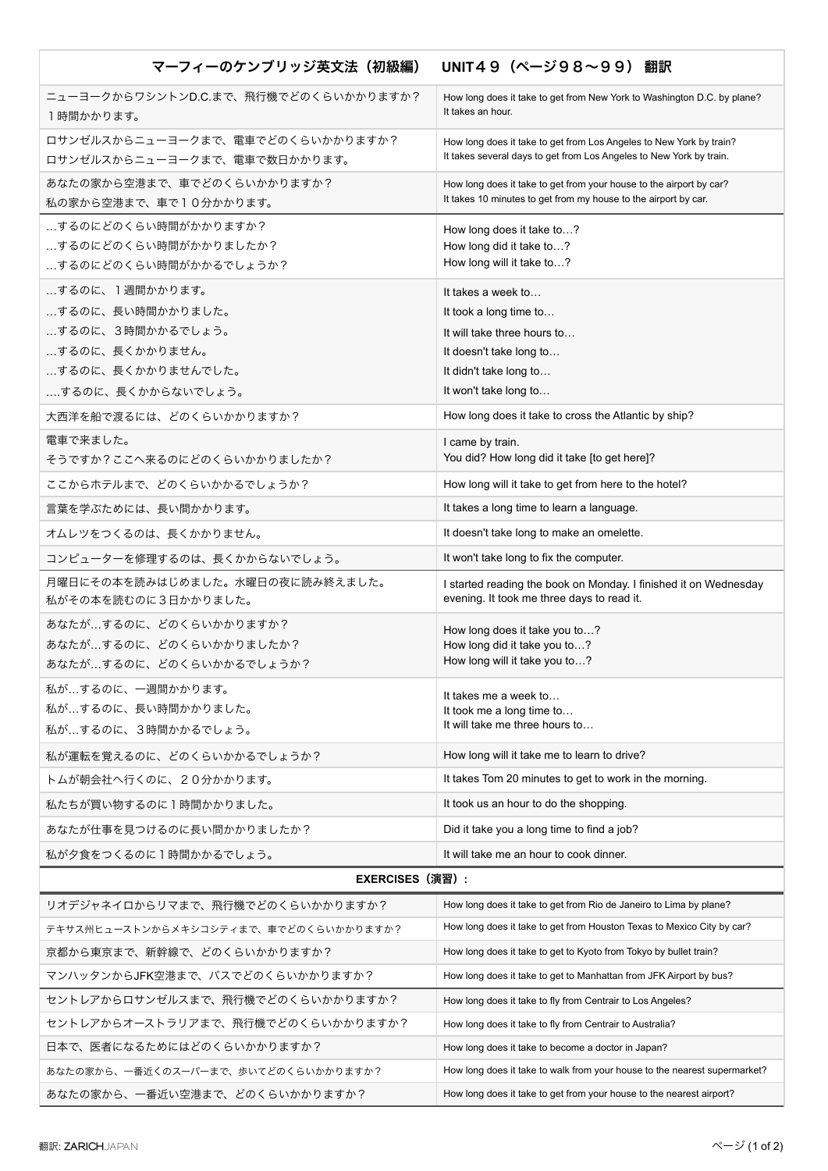| マーフィーのケンブリッジ英文法(初級編)                                                                                               | UNIT49 (ページ98~99) 翻訳                                                                                                                                      |
|--------------------------------------------------------------------------------------------------------------------|-----------------------------------------------------------------------------------------------------------------------------------------------------------|
| ニューヨークからワシントンD.C.まで、飛行機でどのくらいかかりますか?<br>1時間かかります。                                                                  | How long does it take to get from New York to Washington D.C. by plane?<br>It takes an hour.                                                              |
| ロサンゼルスからニューヨークまで、電車でどのくらいかかりますか?<br>ロサンゼルスからニューヨークまで、電車で数日かかります。                                                   | How long does it take to get from Los Angeles to New York by train?<br>It takes several days to get from Los Angeles to New York by train.                |
| あなたの家から空港まで、車でどのくらいかかりますか?<br>私の家から空港まで、車で10分かかります。                                                                | How long does it take to get from your house to the airport by car?<br>It takes 10 minutes to get from my house to the airport by car.                    |
| するのにどのくらい時間がかかりますか?<br>するのにどのくらい時間がかかりましたか?<br>するのにどのくらい時間がかかるでしょうか?                                               | How long does it take to?<br>How long did it take to?<br>How long will it take to?                                                                        |
| するのに、1週間かかります。<br>するのに、長い時間かかりました。<br>するのに、3時間かかるでしょう。<br>するのに、長くかかりません。<br>するのに、長くかかりませんでした。<br>するのに、長くかからないでしょう。 | It takes a week to<br>It took a long time to<br>It will take three hours to<br>It doesn't take long to<br>It didn't take long to<br>It won't take long to |
| 大西洋を船で渡るには、どのくらいかかりますか?                                                                                            | How long does it take to cross the Atlantic by ship?                                                                                                      |
| 電車で来ました。<br>そうですか?ここへ来るのにどのくらいかかりましたか?                                                                             | I came by train.<br>You did? How long did it take [to get here]?                                                                                          |
| ここからホテルまで、どのくらいかかるでしょうか?                                                                                           | How long will it take to get from here to the hotel?                                                                                                      |
| 言葉を学ぶためには、長い間かかります。                                                                                                | It takes a long time to learn a language.                                                                                                                 |
| オムレツをつくるのは、長くかかりません。                                                                                               | It doesn't take long to make an omelette.                                                                                                                 |
| コンピューターを修理するのは、長くかからないでしょう。                                                                                        | It won't take long to fix the computer.                                                                                                                   |
| 月曜日にその本を読みはじめました。水曜日の夜に読み終えました。<br>私がその本を読むのに3日かかりました。                                                             | I started reading the book on Monday. I finished it on Wednesday<br>evening. It took me three days to read it.                                            |
| あなたが…するのに、どのくらいかかりますか?<br>あなたが…するのに、どのくらいかかりましたか?<br>あなたが…するのに、どのくらいかかるでしょうか?                                      | How long does it take you to?<br>How long did it take you to?<br>How long will it take you to?                                                            |
| 私が…するのに、一週間かかります。<br>私が…するのに、長い時間かかりました。<br>私が…するのに、3時間かかるでしょう。                                                    | It takes me a week to<br>It took me a long time to<br>It will take me three hours to                                                                      |
| 私が運転を覚えるのに、どのくらいかかるでしょうか?                                                                                          | How long will it take me to learn to drive?                                                                                                               |
| トムが朝会社へ行くのに、20分かかります。                                                                                              | It takes Tom 20 minutes to get to work in the morning.                                                                                                    |
| 私たちが買い物するのに1時間かかりました。                                                                                              | It took us an hour to do the shopping.                                                                                                                    |
| あなたが仕事を見つけるのに長い間かかりましたか?                                                                                           | Did it take you a long time to find a job?                                                                                                                |
| 私が夕食をつくるのに1時間かかるでしょう。                                                                                              | It will take me an hour to cook dinner.                                                                                                                   |
| <b>EXERCISES (演習):</b>                                                                                             |                                                                                                                                                           |
| リオデジャネイロからリマまで、飛行機でどのくらいかかりますか?                                                                                    | How long does it take to get from Rio de Janeiro to Lima by plane?                                                                                        |
| テキサス州ヒューストンからメキシコシティまで、車でどのくらいかかりますか?                                                                              | How long does it take to get from Houston Texas to Mexico City by car?                                                                                    |
| 京都から東京まで、新幹線で、どのくらいかかりますか?                                                                                         | How long does it take to get to Kyoto from Tokyo by bullet train?                                                                                         |
| マンハッタンからJFK空港まで、バスでどのくらいかかりますか?                                                                                    | How long does it take to get to Manhattan from JFK Airport by bus?                                                                                        |
| セントレアからロサンゼルスまで、飛行機でどのくらいかかりますか?                                                                                   | How long does it take to fly from Centrair to Los Angeles?                                                                                                |
| セントレアからオーストラリアまで、飛行機でどのくらいかかりますか?                                                                                  | How long does it take to fly from Centrair to Australia?                                                                                                  |
| 日本で、医者になるためにはどのくらいかかりますか?                                                                                          | How long does it take to become a doctor in Japan?                                                                                                        |
| あなたの家から、一番近くのスーパーまで、歩いてどのくらいかかりますか?                                                                                | How long does it take to walk from your house to the nearest supermarket?                                                                                 |
| あなたの家から、一番近い空港まで、どのくらいかかりますか?                                                                                      | How long does it take to get from your house to the nearest airport?                                                                                      |